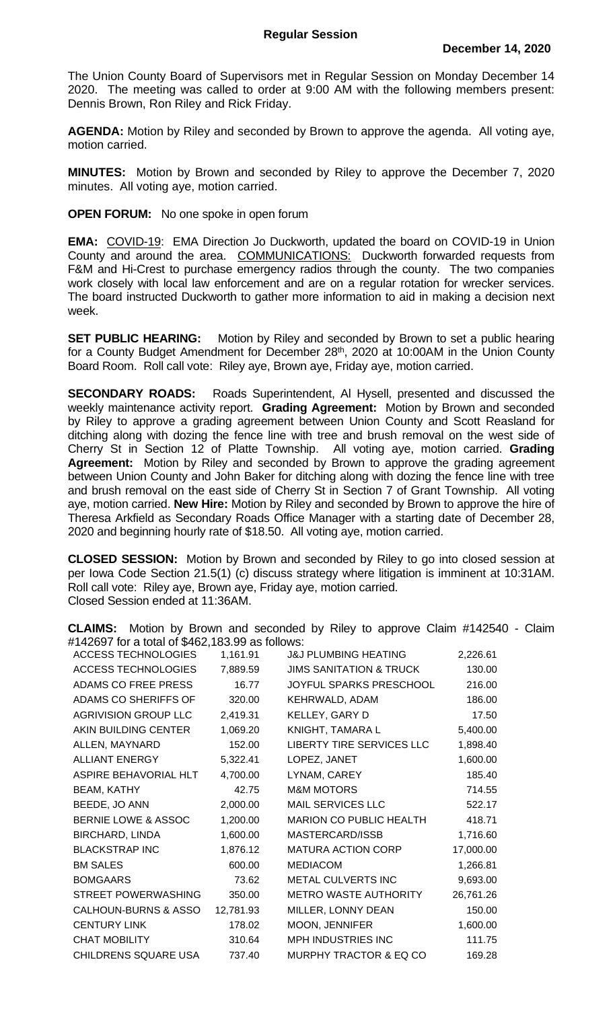The Union County Board of Supervisors met in Regular Session on Monday December 14 2020. The meeting was called to order at 9:00 AM with the following members present: Dennis Brown, Ron Riley and Rick Friday.

**AGENDA:** Motion by Riley and seconded by Brown to approve the agenda. All voting aye, motion carried.

**MINUTES:** Motion by Brown and seconded by Riley to approve the December 7, 2020 minutes. All voting aye, motion carried.

**OPEN FORUM:** No one spoke in open forum

**EMA:** COVID-19: EMA Direction Jo Duckworth, updated the board on COVID-19 in Union County and around the area. COMMUNICATIONS: Duckworth forwarded requests from F&M and Hi-Crest to purchase emergency radios through the county. The two companies work closely with local law enforcement and are on a regular rotation for wrecker services. The board instructed Duckworth to gather more information to aid in making a decision next week.

**SET PUBLIC HEARING:** Motion by Riley and seconded by Brown to set a public hearing for a County Budget Amendment for December 28<sup>th</sup>, 2020 at 10:00AM in the Union County Board Room. Roll call vote: Riley aye, Brown aye, Friday aye, motion carried.

**SECONDARY ROADS:** Roads Superintendent, Al Hysell, presented and discussed the weekly maintenance activity report. **Grading Agreement:** Motion by Brown and seconded by Riley to approve a grading agreement between Union County and Scott Reasland for ditching along with dozing the fence line with tree and brush removal on the west side of Cherry St in Section 12 of Platte Township. All voting aye, motion carried. **Grading Agreement:** Motion by Riley and seconded by Brown to approve the grading agreement between Union County and John Baker for ditching along with dozing the fence line with tree and brush removal on the east side of Cherry St in Section 7 of Grant Township. All voting aye, motion carried. **New Hire:** Motion by Riley and seconded by Brown to approve the hire of Theresa Arkfield as Secondary Roads Office Manager with a starting date of December 28, 2020 and beginning hourly rate of \$18.50. All voting aye, motion carried.

**CLOSED SESSION:** Motion by Brown and seconded by Riley to go into closed session at per Iowa Code Section 21.5(1) (c) discuss strategy where litigation is imminent at 10:31AM. Roll call vote: Riley aye, Brown aye, Friday aye, motion carried. Closed Session ended at 11:36AM.

**CLAIMS:** Motion by Brown and seconded by Riley to approve Claim #142540 - Claim #142697 for a total of \$462,183.99 as follows:

| <b>ACCESS TECHNOLOGIES</b>      | 1,161.91  | <b>J&amp;J PLUMBING HEATING</b>    | 2,226.61  |
|---------------------------------|-----------|------------------------------------|-----------|
| <b>ACCESS TECHNOLOGIES</b>      | 7,889.59  | <b>JIMS SANITATION &amp; TRUCK</b> | 130.00    |
| ADAMS CO FREE PRESS             | 16.77     | JOYFUL SPARKS PRESCHOOL            | 216.00    |
| ADAMS CO SHERIFFS OF            | 320.00    | KEHRWALD, ADAM                     | 186.00    |
| <b>AGRIVISION GROUP LLC</b>     | 2,419.31  | KELLEY, GARY D                     | 17.50     |
| AKIN BUILDING CENTER            | 1,069.20  | KNIGHT, TAMARA L                   | 5,400.00  |
| ALLEN, MAYNARD                  | 152.00    | LIBERTY TIRE SERVICES LLC          | 1,898.40  |
| ALLIANT ENERGY                  | 5,322.41  | LOPEZ, JANET                       | 1,600.00  |
| ASPIRE BEHAVORIAL HLT           | 4,700.00  | LYNAM, CAREY                       | 185.40    |
| <b>BEAM, KATHY</b>              | 42.75     | <b>M&amp;M MOTORS</b>              | 714.55    |
| BEEDE, JO ANN                   | 2,000.00  | <b>MAIL SERVICES LLC</b>           | 522.17    |
| <b>BERNIE LOWE &amp; ASSOC</b>  | 1,200.00  | MARION CO PUBLIC HEALTH            | 418.71    |
| <b>BIRCHARD, LINDA</b>          | 1,600.00  | MASTERCARD/ISSB                    | 1,716.60  |
| <b>BLACKSTRAP INC</b>           | 1,876.12  | <b>MATURA ACTION CORP</b>          | 17,000.00 |
| <b>BM SALES</b>                 | 600.00    | <b>MEDIACOM</b>                    | 1,266.81  |
| <b>BOMGAARS</b>                 | 73.62     | METAL CULVERTS INC                 | 9,693.00  |
| STREET POWERWASHING             | 350.00    | <b>METRO WASTE AUTHORITY</b>       | 26,761.26 |
| <b>CALHOUN-BURNS &amp; ASSO</b> | 12,781.93 | MILLER, LONNY DEAN                 | 150.00    |
| <b>CENTURY LINK</b>             | 178.02    | MOON, JENNIFER                     | 1,600.00  |
| <b>CHAT MOBILITY</b>            | 310.64    | MPH INDUSTRIES INC                 | 111.75    |
| CHILDRENS SQUARE USA            | 737.40    | MURPHY TRACTOR & EQ CO             | 169.28    |
|                                 |           |                                    |           |